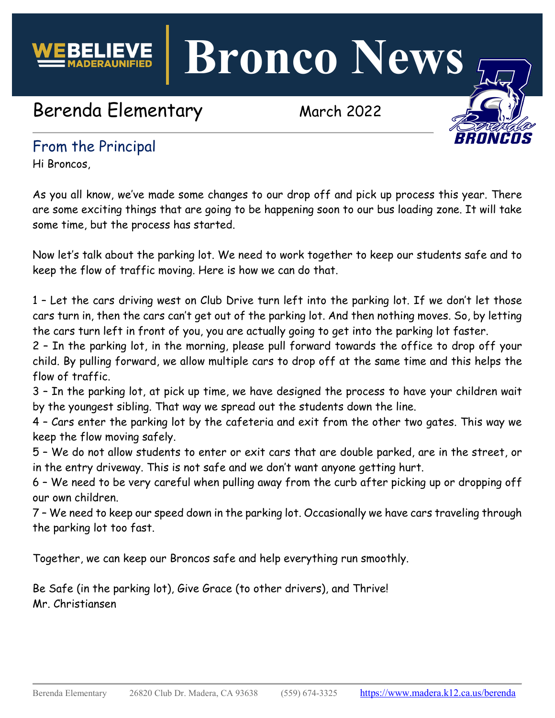

**Bronco News**

# Berenda Elementary March 2022



## From the Principal

Hi Broncos,

As you all know, we've made some changes to our drop off and pick up process this year. There are some exciting things that are going to be happening soon to our bus loading zone. It will take some time, but the process has started.

Now let's talk about the parking lot. We need to work together to keep our students safe and to keep the flow of traffic moving. Here is how we can do that.

1 – Let the cars driving west on Club Drive turn left into the parking lot. If we don't let those cars turn in, then the cars can't get out of the parking lot. And then nothing moves. So, by letting the cars turn left in front of you, you are actually going to get into the parking lot faster.

2 – In the parking lot, in the morning, please pull forward towards the office to drop off your child. By pulling forward, we allow multiple cars to drop off at the same time and this helps the flow of traffic.

3 – In the parking lot, at pick up time, we have designed the process to have your children wait by the youngest sibling. That way we spread out the students down the line.

4 – Cars enter the parking lot by the cafeteria and exit from the other two gates. This way we keep the flow moving safely.

5 – We do not allow students to enter or exit cars that are double parked, are in the street, or in the entry driveway. This is not safe and we don't want anyone getting hurt.

6 – We need to be very careful when pulling away from the curb after picking up or dropping off our own children.

7 – We need to keep our speed down in the parking lot. Occasionally we have cars traveling through the parking lot too fast.

Together, we can keep our Broncos safe and help everything run smoothly.

Be Safe (in the parking lot), Give Grace (to other drivers), and Thrive! Mr. Christiansen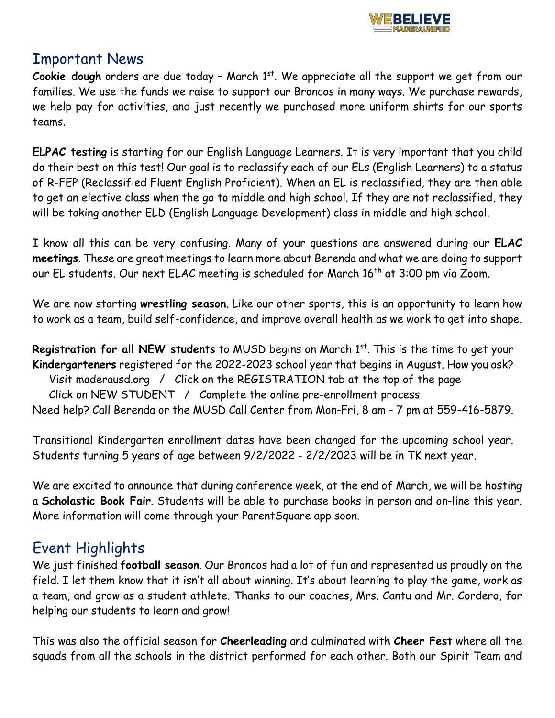

### Important News

**Cookie dough** orders are due today - March 1<sup>st</sup>. We appreciate all the support we get from our families. We use the funds we raise to support our Broncos in many ways. We purchase rewards, we help pay for activities, and just recently we purchased more uniform shirts for our sports teams.

**ELPAC testing** is starting for our English Language Learners. It is very important that you child do their best on this test! Our goal is to reclassify each of our ELs (English Learners) to a status of R-FEP (Reclassified Fluent English Proficient). When an EL is reclassified, they are then able to get an elective class when the go to middle and high school. If they are not reclassified, they will be taking another ELD (English Language Development) class in middle and high school.

I know all this can be very confusing. Many of your questions are answered during our **ELAC meetings**. These are great meetings to learn more about Berenda and what we are doing to support our EL students. Our next ELAC meeting is scheduled for March 16<sup>th</sup> at 3:00 pm via Zoom.

We are now starting **wrestling season**. Like our other sports, this is an opportunity to learn how to work as a team, build self-confidence, and improve overall health as we work to get into shape.

**Registration for all NEW students** to MUSD begins on March 1<sup>st</sup>. This is the time to get your **Kindergarteners** registered for the 2022-2023 school year that begins in August. How you ask? Visit maderausd.org / Click on the REGISTRATION tab at the top of the page Click on NEW STUDENT / Complete the online pre-enrollment process Need help? Call Berenda or the MUSD Call Center from Mon-Fri, 8 am - 7 pm at 559-416-5879.

Transitional Kindergarten enrollment dates have been changed for the upcoming school year. Students turning 5 years of age between 9/2/2022 - 2/2/2023 will be in TK next year.

We are excited to announce that during conference week, at the end of March, we will be hosting a **Scholastic Book Fair**. Students will be able to purchase books in person and on-line this year. More information will come through your ParentSquare app soon.

# Event Highlights

We just finished **football season**. Our Broncos had a lot of fun and represented us proudly on the field. I let them know that it isn't all about winning. It's about learning to play the game, work as a team, and grow as a student athlete. Thanks to our coaches, Mrs. Cantu and Mr. Cordero, for helping our students to learn and grow!

This was also the official season for **Cheerleading** and culminated with **Cheer Fest** where all the squads from all the schools in the district performed for each other. Both our Spirit Team and